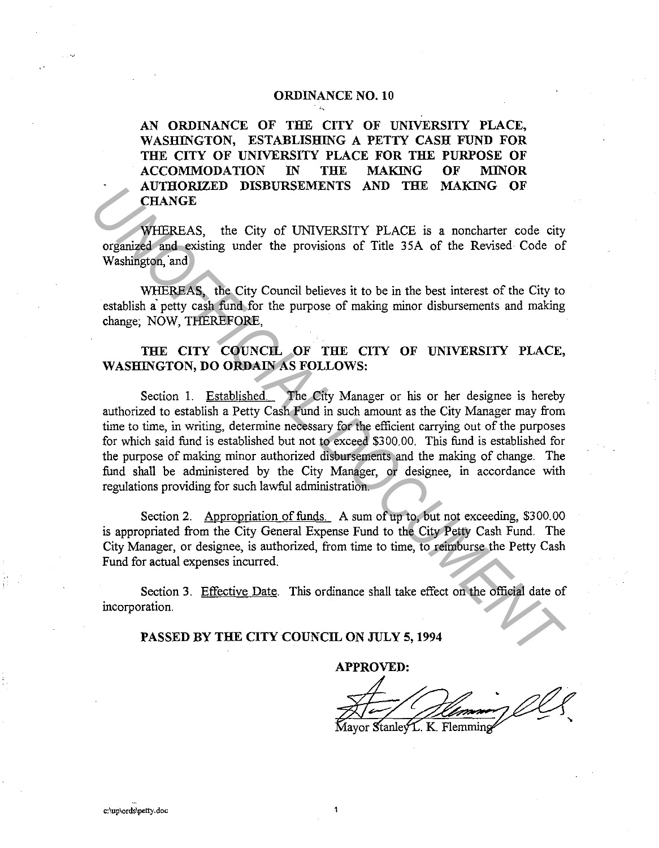## **ORDINANCE NO. 10**

**AN ORDINANCE OF THE CITY OF UNIVERSITY PLACE, WASHINGTON, ESTABLISHING A PETTY CASH FUND FOR THE CITY OF UNIVERSITY PLACE FOR THE PURPOSE OF ACCOMMODATION IN THE MAKING OF MINOR AUTHORIZED DISBURSEMENTS AND THE MAKING OF CHANGE** 

WHEREAS, the City of UNIVERSITY PLACE is a noncharter code city organized and existing under the provisions of Title 35A of the Revised Code of Washington, 'and

WHEREAS, the City Council believes it to be in the best interest of the City to establish a petty cash fund for the purpose of making minor disbursements and making change; NOW, THEREFORE,

## **THE CITY COUNCIL OF THE CITY OF UNIVERSITY PLACE, WASHINGTON, DO ORDAIN AS FOLLOWS:**

Section 1. Established. The City Manager or his or her designee is hereby authorized to establish a Petty Cash Fund in such amount as the City Manager may from time to time, in writing, determine necessary for the efficient carrying out of the purposes for which said fund is established but not to exceed \$3 00. 00. This fund is established for the purpose of making minor authorized disbursements and the making of change. The fund shall be administered by the City Manager, or designee, in accordance with regulations providing for such lawful administration. **CHANGE CHANGE DISBURSEMENTS AND THE MAKING OF**<br> **CHANGE**<br> **CHANGE**<br> **CHANGE CHANGE CHANGE CONDIVERSITY PLACE** is a noncharter code city<br>
organized and existing under the provisions of Title 35A of the Revised Code of<br> **WH** 

Section 2. Appropriation of funds. A sum of up to, but not exceeding, \$300.00 is appropriated from the City General Expense Fund to the City Petty Cash Fund. The City Manager, or designee, is authorized, from time to time, to reimburse the Petty Cash Fund for actual expenses incurred.

Section 3. Effective Date. This ordinance shall take effect on the official date of incorporation.

## **PASSED BY THE CITY COUNCIL ON JULY 5, 1994**

**APPROVED:** 

Mayor Stanley L. K. Flemming